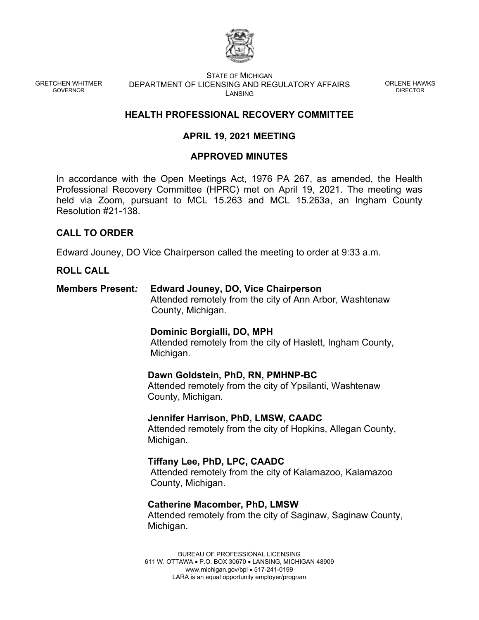

GRETCHEN WHITMER GOVERNOR

STATE OF MICHIGAN DEPARTMENT OF LICENSING AND REGULATORY AFFAIRS **LANSING** 

ORLENE HAWKS DIRECTOR

# **HEALTH PROFESSIONAL RECOVERY COMMITTEE**

# **APRIL 19, 2021 MEETING**

## **APPROVED MINUTES**

In accordance with the Open Meetings Act, 1976 PA 267, as amended, the Health Professional Recovery Committee (HPRC) met on April 19, 2021. The meeting was held via Zoom, pursuant to MCL 15.263 and MCL 15.263a, an Ingham County Resolution #21-138.

### **CALL TO ORDER**

Edward Jouney, DO Vice Chairperson called the meeting to order at 9:33 a.m.

#### **ROLL CALL**

**Members Present***:* **Edward Jouney, DO, Vice Chairperson** Attended remotely from the city of Ann Arbor, Washtenaw County, Michigan.

#### **Dominic Borgialli, DO, MPH**

Attended remotely from the city of Haslett, Ingham County, Michigan.

#### **Dawn Goldstein, PhD, RN, PMHNP-BC**

Attended remotely from the city of Ypsilanti, Washtenaw County, Michigan.

**Jennifer Harrison, PhD, LMSW, CAADC** Attended remotely from the city of Hopkins, Allegan County, Michigan.

**Tiffany Lee, PhD, LPC, CAADC**  Attended remotely from the city of Kalamazoo, Kalamazoo County, Michigan.

**Catherine Macomber, PhD, LMSW** Attended remotely from the city of Saginaw, Saginaw County, Michigan.

BUREAU OF PROFESSIONAL LICENSING 611 W. OTTAWA • P.O. BOX 30670 • LANSING, MICHIGAN 48909 www.michigan.gov/bpl • 517-241-0199 LARA is an equal opportunity employer/program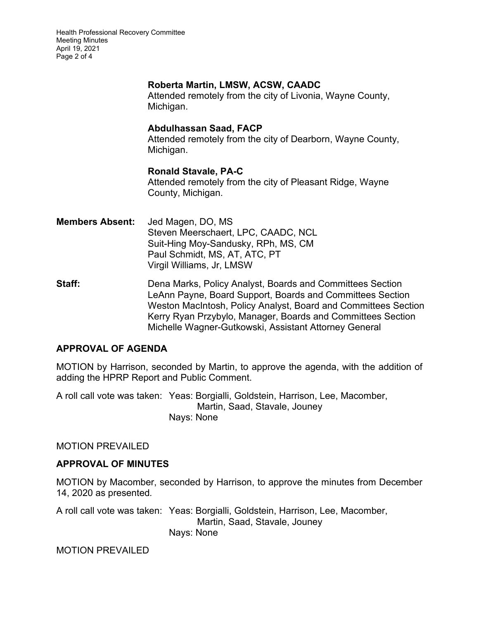Health Professional Recovery Committee Meeting Minutes April 19, 2021 Page 2 of 4

### **Roberta Martin, LMSW, ACSW, CAADC**

Attended remotely from the city of Livonia, Wayne County, Michigan.

## **Abdulhassan Saad, FACP**

Attended remotely from the city of Dearborn, Wayne County, Michigan.

## **Ronald Stavale, PA-C**

Attended remotely from the city of Pleasant Ridge, Wayne County, Michigan.

- **Members Absent:** Jed Magen, DO, MS Steven Meerschaert, LPC, CAADC, NCL Suit-Hing Moy-Sandusky, RPh, MS, CM Paul Schmidt, MS, AT, ATC, PT Virgil Williams, Jr, LMSW
- **Staff: Dena Marks, Policy Analyst, Boards and Committees Section** LeAnn Payne, Board Support, Boards and Committees Section Weston MacIntosh, Policy Analyst, Board and Committees Section Kerry Ryan Przybylo, Manager, Boards and Committees Section Michelle Wagner-Gutkowski, Assistant Attorney General

## **APPROVAL OF AGENDA**

MOTION by Harrison, seconded by Martin, to approve the agenda, with the addition of adding the HPRP Report and Public Comment.

A roll call vote was taken: Yeas: Borgialli, Goldstein, Harrison, Lee, Macomber, Martin, Saad, Stavale, Jouney Nays: None

## MOTION PREVAILED

## **APPROVAL OF MINUTES**

MOTION by Macomber, seconded by Harrison, to approve the minutes from December 14, 2020 as presented*.*

A roll call vote was taken: Yeas: Borgialli, Goldstein, Harrison, Lee, Macomber, Martin, Saad, Stavale, Jouney Nays: None

MOTION PREVAILED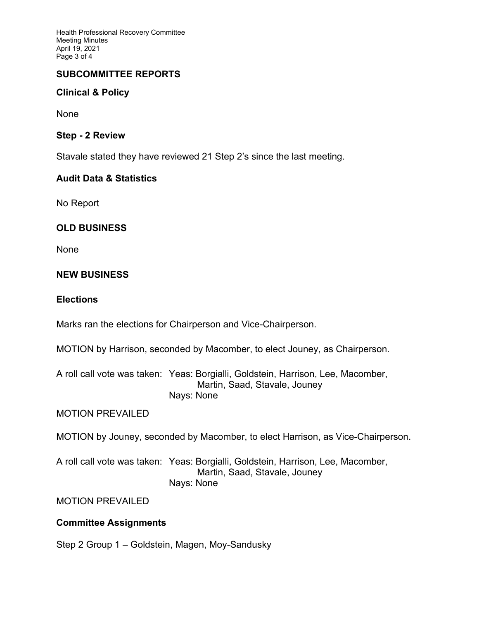Health Professional Recovery Committee Meeting Minutes April 19, 2021 Page 3 of 4

## **SUBCOMMITTEE REPORTS**

# **Clinical & Policy**

None

### **Step - 2 Review**

Stavale stated they have reviewed 21 Step 2's since the last meeting.

## **Audit Data & Statistics**

No Report

## **OLD BUSINESS**

None

## **NEW BUSINESS**

#### **Elections**

Marks ran the elections for Chairperson and Vice-Chairperson.

MOTION by Harrison, seconded by Macomber, to elect Jouney, as Chairperson.

A roll call vote was taken: Yeas: Borgialli, Goldstein, Harrison, Lee, Macomber, Martin, Saad, Stavale, Jouney Nays: None

MOTION PREVAILED

MOTION by Jouney, seconded by Macomber, to elect Harrison, as Vice-Chairperson.

A roll call vote was taken: Yeas: Borgialli, Goldstein, Harrison, Lee, Macomber, Martin, Saad, Stavale, Jouney Nays: None

MOTION PREVAILED

## **Committee Assignments**

Step 2 Group 1 – Goldstein, Magen, Moy-Sandusky